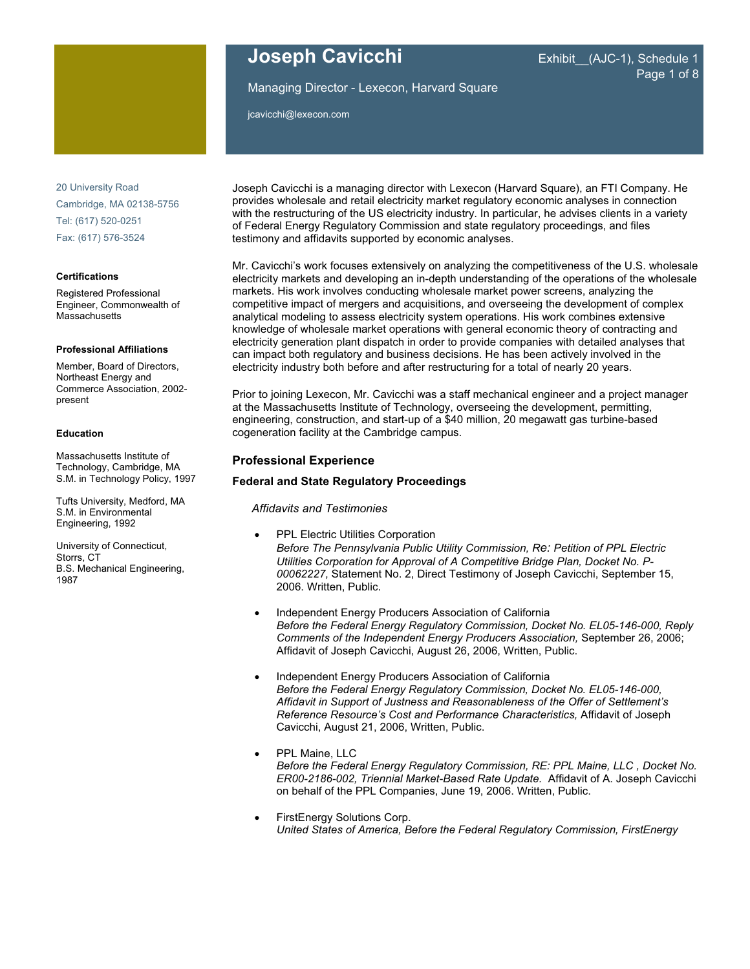

20 University Road Cambridge, MA 02138-5756 Tel: (617) 520-0251 Fax: (617) 576-3524

#### **Certifications**

Registered Professional Engineer, Commonwealth of **Massachusetts** 

#### **Professional Affiliations**

Member, Board of Directors, Northeast Energy and Commerce Association, 2002 present

#### **Education**

Massachusetts Institute of Technology, Cambridge, MA S.M. in Technology Policy, 1997

Tufts University, Medford, MA S.M. in Environmental Engineering, 1992

University of Connecticut, Storrs, CT B.S. Mechanical Engineering, 1987

# **Joseph Cavicchi** Exhibit (AJC-1), Schedule 1

# Page 1 of 8

Managing Director - Lexecon, Harvard Square

jcavicchi@lexecon.com

Joseph Cavicchi is a managing director with Lexecon (Harvard Square), an FTI Company. He provides wholesale and retail electricity market regulatory economic analyses in connection with the restructuring of the US electricity industry. In particular, he advises clients in a variety of Federal Energy Regulatory Commission and state regulatory proceedings, and files testimony and affidavits supported by economic analyses.

Mr. Cavicchi's work focuses extensively on analyzing the competitiveness of the U.S. wholesale electricity markets and developing an in-depth understanding of the operations of the wholesale markets. His work involves conducting wholesale market power screens, analyzing the competitive impact of mergers and acquisitions, and overseeing the development of complex analytical modeling to assess electricity system operations. His work combines extensive knowledge of wholesale market operations with general economic theory of contracting and electricity generation plant dispatch in order to provide companies with detailed analyses that can impact both regulatory and business decisions. He has been actively involved in the electricity industry both before and after restructuring for a total of nearly 20 years.

Prior to joining Lexecon, Mr. Cavicchi was a staff mechanical engineer and a project manager at the Massachusetts Institute of Technology, overseeing the development, permitting, engineering, construction, and start-up of a \$40 million, 20 megawatt gas turbine-based cogeneration facility at the Cambridge campus.

#### **Professional Experience**

#### **Federal and State Regulatory Proceedings**

*Affidavits and Testimonies* 

- PPL Electric Utilities Corporation *Before The Pennsylvania Public Utility Commission, Re: Petition of PPL Electric Utilities Corporation for Approval of A Competitive Bridge Plan, Docket No. P-00062227*, Statement No. 2, Direct Testimony of Joseph Cavicchi, September 15, 2006. Written, Public.
- Independent Energy Producers Association of California *Before the Federal Energy Regulatory Commission, Docket No. EL05-146-000, Reply Comments of the Independent Energy Producers Association,* September 26, 2006; Affidavit of Joseph Cavicchi, August 26, 2006, Written, Public.
- Independent Energy Producers Association of California *Before the Federal Energy Regulatory Commission, Docket No. EL05-146-000, Affidavit in Support of Justness and Reasonableness of the Offer of Settlement's Reference Resource's Cost and Performance Characteristics,* Affidavit of Joseph Cavicchi, August 21, 2006, Written, Public.
- PPL Maine, LLC *Before the Federal Energy Regulatory Commission, RE: PPL Maine, LLC , Docket No. ER00-2186-002, Triennial Market-Based Rate Update.* Affidavit of A. Joseph Cavicchi on behalf of the PPL Companies, June 19, 2006. Written, Public.
- FirstEnergy Solutions Corp. *United States of America, Before the Federal Regulatory Commission, FirstEnergy*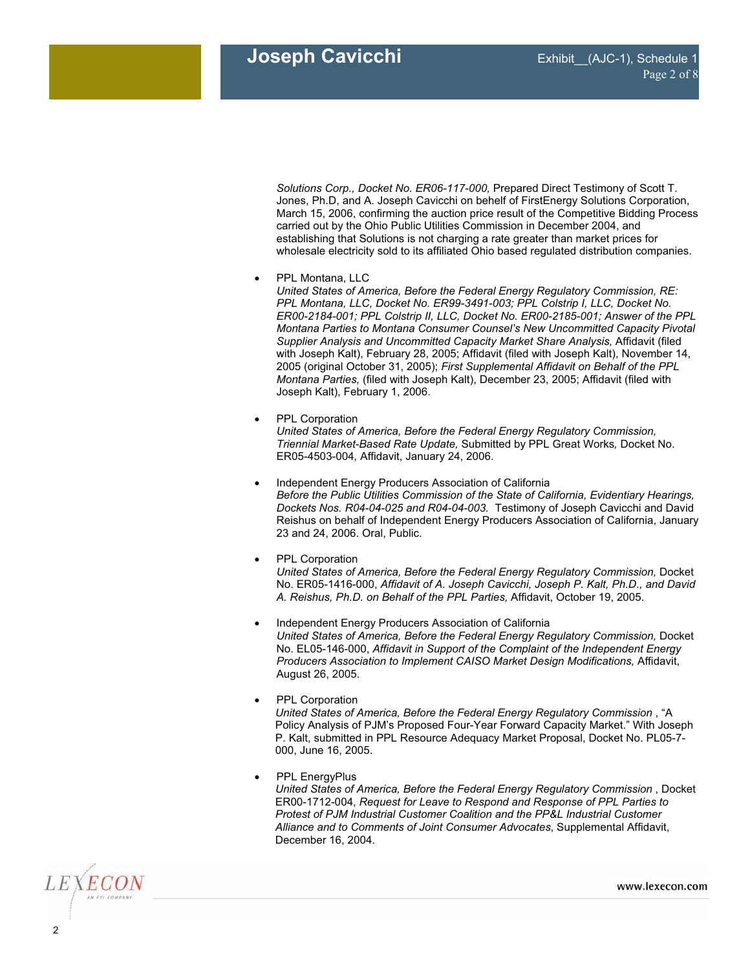*Solutions Corp., Docket No. ER06-117-000,* Prepared Direct Testimony of Scott T. Jones, Ph.D, and A. Joseph Cavicchi on behelf of FirstEnergy Solutions Corporation, March 15, 2006, confirming the auction price result of the Competitive Bidding Process carried out by the Ohio Public Utilities Commission in December 2004, and establishing that Solutions is not charging a rate greater than market prices for wholesale electricity sold to its affiliated Ohio based regulated distribution companies.

• PPL Montana, LLC

*United States of America, Before the Federal Energy Regulatory Commission, RE: PPL Montana, LLC, Docket No. ER99-3491-003; PPL Colstrip I, LLC, Docket No. ER00-2184-001; PPL Colstrip II, LLC, Docket No. ER00-2185-001; Answer of the PPL Montana Parties to Montana Consumer Counsel's New Uncommitted Capacity Pivotal Supplier Analysis and Uncommitted Capacity Market Share Analysis,* Affidavit (filed with Joseph Kalt), February 28, 2005; Affidavit (filed with Joseph Kalt), November 14, 2005 (original October 31, 2005); *First Supplemental Affidavit on Behalf of the PPL Montana Parties,* (filed with Joseph Kalt), December 23, 2005; Affidavit (filed with Joseph Kalt), February 1, 2006.

• PPL Corporation

*United States of America, Before the Federal Energy Regulatory Commission, Triennial Market-Based Rate Update,* Submitted by PPL Great Works*,* Docket No. ER05-4503-004*,* Affidavit, January 24, 2006.

- Independent Energy Producers Association of California *Before the Public Utilities Commission of the State of California, Evidentiary Hearings, Dockets Nos. R04-04-025 and R04-04-003.* Testimony of Joseph Cavicchi and David Reishus on behalf of Independent Energy Producers Association of California, January 23 and 24, 2006. Oral, Public.
- PPL Corporation

*United States of America, Before the Federal Energy Regulatory Commission,* Docket No. ER05-1416-000, *Affidavit of A. Joseph Cavicchi, Joseph P. Kalt, Ph.D., and David A. Reishus, Ph.D. on Behalf of the PPL Parties,* Affidavit, October 19, 2005.

- Independent Energy Producers Association of California *United States of America, Before the Federal Energy Regulatory Commission,* Docket No. EL05-146-000, *Affidavit in Support of the Complaint of the Independent Energy Producers Association to Implement CAISO Market Design Modifications,* Affidavit, August 26, 2005.
- PPL Corporation *United States of America, Before the Federal Energy Regulatory Commission* , "A Policy Analysis of PJM's Proposed Four-Year Forward Capacity Market." With Joseph P. Kalt, submitted in PPL Resource Adequacy Market Proposal, Docket No. PL05-7- 000, June 16, 2005.
- PPL EnergyPlus *United States of America, Before the Federal Energy Regulatory Commission* , Docket ER00-1712-004, *Request for Leave to Respond and Response of PPL Parties to Protest of PJM Industrial Customer Coalition and the PP&L Industrial Customer Alliance and to Comments of Joint Consumer Advocates*, Supplemental Affidavit, December 16, 2004.

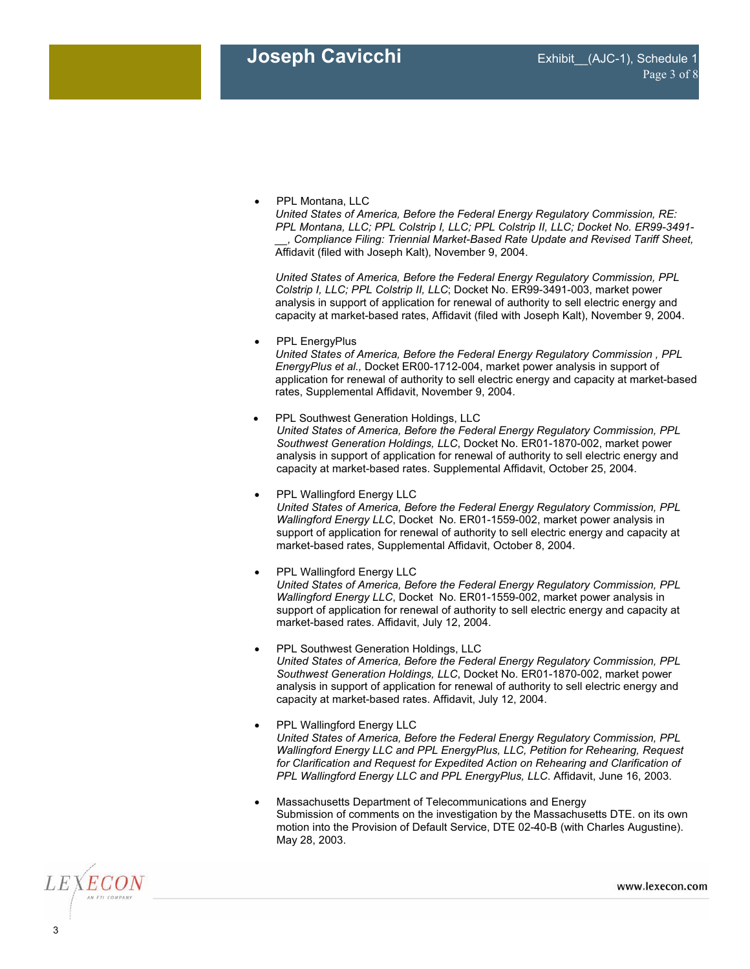• PPL Montana, LLC

*United States of America, Before the Federal Energy Regulatory Commission, RE: PPL Montana, LLC; PPL Colstrip I, LLC; PPL Colstrip II, LLC; Docket No. ER99-3491- \_\_, Compliance Filing: Triennial Market-Based Rate Update and Revised Tariff Sheet,* Affidavit (filed with Joseph Kalt), November 9, 2004.

*United States of America, Before the Federal Energy Regulatory Commission, PPL Colstrip I, LLC; PPL Colstrip II, LLC*; Docket No. ER99-3491-003, market power analysis in support of application for renewal of authority to sell electric energy and capacity at market-based rates, Affidavit (filed with Joseph Kalt), November 9, 2004.

• PPL EnergyPlus

*United States of America, Before the Federal Energy Regulatory Commission , PPL EnergyPlus et al.,* Docket ER00-1712-004, market power analysis in support of application for renewal of authority to sell electric energy and capacity at market-based rates, Supplemental Affidavit, November 9, 2004.

- PPL Southwest Generation Holdings, LLC *United States of America, Before the Federal Energy Regulatory Commission, PPL Southwest Generation Holdings, LLC*, Docket No. ER01-1870-002, market power analysis in support of application for renewal of authority to sell electric energy and capacity at market-based rates. Supplemental Affidavit, October 25, 2004.
- PPL Wallingford Energy LLC *United States of America, Before the Federal Energy Regulatory Commission, PPL Wallingford Energy LLC*, Docket No. ER01-1559-002, market power analysis in support of application for renewal of authority to sell electric energy and capacity at market-based rates, Supplemental Affidavit, October 8, 2004.
- PPL Wallingford Energy LLC *United States of America, Before the Federal Energy Regulatory Commission, PPL Wallingford Energy LLC*, Docket No. ER01-1559-002, market power analysis in support of application for renewal of authority to sell electric energy and capacity at market-based rates. Affidavit, July 12, 2004.
- PPL Southwest Generation Holdings, LLC *United States of America, Before the Federal Energy Regulatory Commission, PPL Southwest Generation Holdings, LLC*, Docket No. ER01-1870-002, market power analysis in support of application for renewal of authority to sell electric energy and capacity at market-based rates. Affidavit, July 12, 2004.
- PPL Wallingford Energy LLC *United States of America, Before the Federal Energy Regulatory Commission, PPL Wallingford Energy LLC and PPL EnergyPlus, LLC, Petition for Rehearing, Request for Clarification and Request for Expedited Action on Rehearing and Clarification of PPL Wallingford Energy LLC and PPL EnergyPlus, LLC*. Affidavit, June 16, 2003.
- Massachusetts Department of Telecommunications and Energy Submission of comments on the investigation by the Massachusetts DTE. on its own motion into the Provision of Default Service, DTE 02-40-B (with Charles Augustine). May 28, 2003.

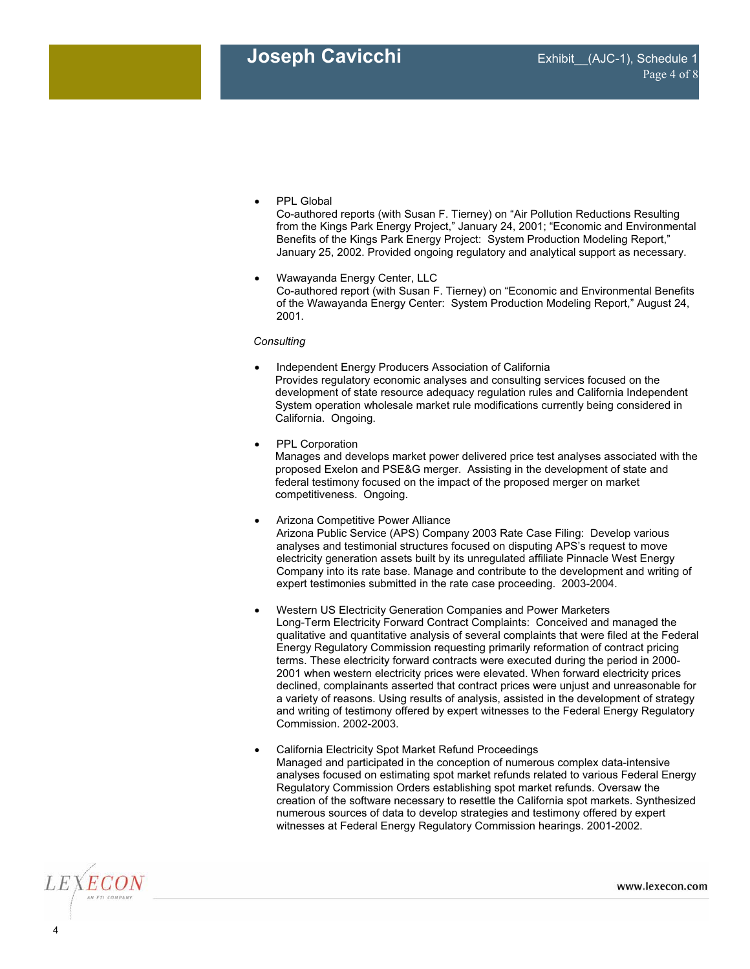• PPL Global

Co-authored reports (with Susan F. Tierney) on "Air Pollution Reductions Resulting from the Kings Park Energy Project," January 24, 2001; "Economic and Environmental Benefits of the Kings Park Energy Project: System Production Modeling Report," January 25, 2002. Provided ongoing regulatory and analytical support as necessary.

• Wawayanda Energy Center, LLC Co-authored report (with Susan F. Tierney) on "Economic and Environmental Benefits of the Wawayanda Energy Center: System Production Modeling Report," August 24, 2001.

#### *Consulting*

- Independent Energy Producers Association of California Provides regulatory economic analyses and consulting services focused on the development of state resource adequacy regulation rules and California Independent System operation wholesale market rule modifications currently being considered in California. Ongoing.
- PPL Corporation Manages and develops market power delivered price test analyses associated with the proposed Exelon and PSE&G merger. Assisting in the development of state and federal testimony focused on the impact of the proposed merger on market competitiveness. Ongoing.
- Arizona Competitive Power Alliance Arizona Public Service (APS) Company 2003 Rate Case Filing: Develop various analyses and testimonial structures focused on disputing APS's request to move electricity generation assets built by its unregulated affiliate Pinnacle West Energy Company into its rate base. Manage and contribute to the development and writing of expert testimonies submitted in the rate case proceeding. 2003-2004.
- Western US Electricity Generation Companies and Power Marketers Long-Term Electricity Forward Contract Complaints: Conceived and managed the qualitative and quantitative analysis of several complaints that were filed at the Federal Energy Regulatory Commission requesting primarily reformation of contract pricing terms. These electricity forward contracts were executed during the period in 2000- 2001 when western electricity prices were elevated. When forward electricity prices declined, complainants asserted that contract prices were unjust and unreasonable for a variety of reasons. Using results of analysis, assisted in the development of strategy and writing of testimony offered by expert witnesses to the Federal Energy Regulatory Commission. 2002-2003.
- California Electricity Spot Market Refund Proceedings Managed and participated in the conception of numerous complex data-intensive analyses focused on estimating spot market refunds related to various Federal Energy Regulatory Commission Orders establishing spot market refunds. Oversaw the creation of the software necessary to resettle the California spot markets. Synthesized numerous sources of data to develop strategies and testimony offered by expert witnesses at Federal Energy Regulatory Commission hearings. 2001-2002.

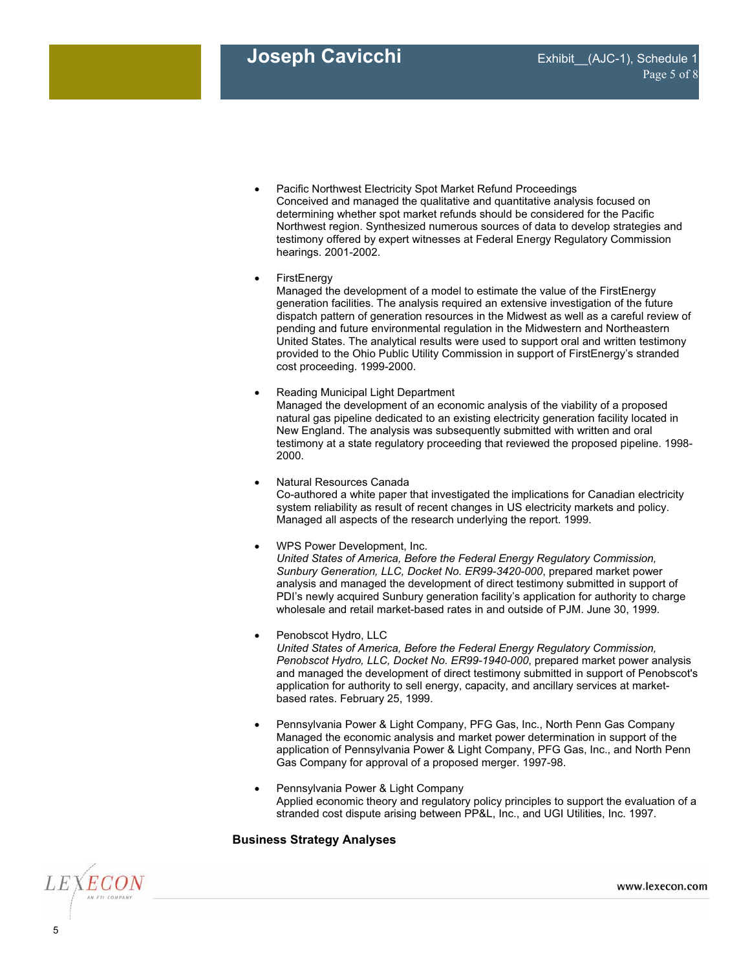- Pacific Northwest Electricity Spot Market Refund Proceedings Conceived and managed the qualitative and quantitative analysis focused on determining whether spot market refunds should be considered for the Pacific Northwest region. Synthesized numerous sources of data to develop strategies and testimony offered by expert witnesses at Federal Energy Regulatory Commission hearings. 2001-2002.
- FirstEnergy

Managed the development of a model to estimate the value of the FirstEnergy generation facilities. The analysis required an extensive investigation of the future dispatch pattern of generation resources in the Midwest as well as a careful review of pending and future environmental regulation in the Midwestern and Northeastern United States. The analytical results were used to support oral and written testimony provided to the Ohio Public Utility Commission in support of FirstEnergy's stranded cost proceeding. 1999-2000.

- Reading Municipal Light Department Managed the development of an economic analysis of the viability of a proposed natural gas pipeline dedicated to an existing electricity generation facility located in New England. The analysis was subsequently submitted with written and oral testimony at a state regulatory proceeding that reviewed the proposed pipeline. 1998- 2000.
- Natural Resources Canada Co-authored a white paper that investigated the implications for Canadian electricity system reliability as result of recent changes in US electricity markets and policy. Managed all aspects of the research underlying the report. 1999.
- WPS Power Development, Inc.

*United States of America, Before the Federal Energy Regulatory Commission, Sunbury Generation, LLC, Docket No. ER99-3420-000*, prepared market power analysis and managed the development of direct testimony submitted in support of PDI's newly acquired Sunbury generation facility's application for authority to charge wholesale and retail market-based rates in and outside of PJM. June 30, 1999.

- Penobscot Hydro, LLC *United States of America, Before the Federal Energy Regulatory Commission, Penobscot Hydro, LLC, Docket No. ER99-1940-000*, prepared market power analysis
	- and managed the development of direct testimony submitted in support of Penobscot's application for authority to sell energy, capacity, and ancillary services at marketbased rates. February 25, 1999.
	- Pennsylvania Power & Light Company, PFG Gas, Inc., North Penn Gas Company Managed the economic analysis and market power determination in support of the application of Pennsylvania Power & Light Company, PFG Gas, Inc., and North Penn Gas Company for approval of a proposed merger. 1997-98.
- Pennsylvania Power & Light Company Applied economic theory and regulatory policy principles to support the evaluation of a stranded cost dispute arising between PP&L, Inc., and UGI Utilities, Inc. 1997.

# **Business Strategy Analyses**



www.lexecon.com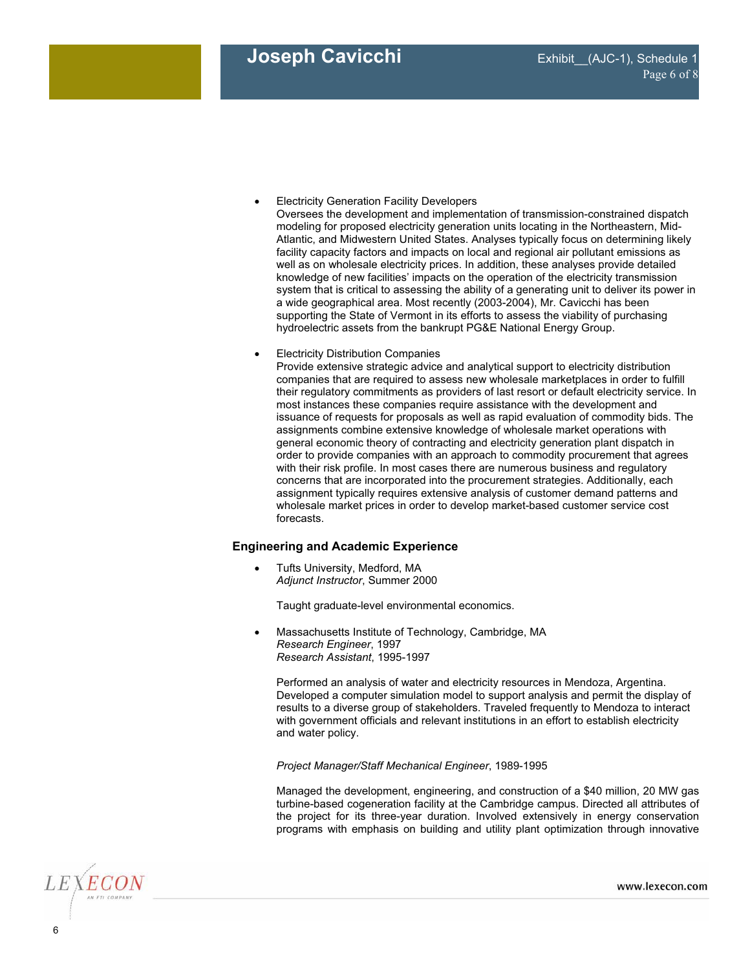- **•** Electricity Generation Facility Developers
	- Oversees the development and implementation of transmission-constrained dispatch modeling for proposed electricity generation units locating in the Northeastern, Mid-Atlantic, and Midwestern United States. Analyses typically focus on determining likely facility capacity factors and impacts on local and regional air pollutant emissions as well as on wholesale electricity prices. In addition, these analyses provide detailed knowledge of new facilities' impacts on the operation of the electricity transmission system that is critical to assessing the ability of a generating unit to deliver its power in a wide geographical area. Most recently (2003-2004), Mr. Cavicchi has been supporting the State of Vermont in its efforts to assess the viability of purchasing hydroelectric assets from the bankrupt PG&E National Energy Group.
- **•** Electricity Distribution Companies

Provide extensive strategic advice and analytical support to electricity distribution companies that are required to assess new wholesale marketplaces in order to fulfill their regulatory commitments as providers of last resort or default electricity service. In most instances these companies require assistance with the development and issuance of requests for proposals as well as rapid evaluation of commodity bids. The assignments combine extensive knowledge of wholesale market operations with general economic theory of contracting and electricity generation plant dispatch in order to provide companies with an approach to commodity procurement that agrees with their risk profile. In most cases there are numerous business and regulatory concerns that are incorporated into the procurement strategies. Additionally, each assignment typically requires extensive analysis of customer demand patterns and wholesale market prices in order to develop market-based customer service cost forecasts.

## **Engineering and Academic Experience**

Tufts University, Medford, MA *Adjunct Instructor*, Summer 2000

Taught graduate-level environmental economics.

• Massachusetts Institute of Technology, Cambridge, MA *Research Engineer*, 1997 *Research Assistant*, 1995-1997

Performed an analysis of water and electricity resources in Mendoza, Argentina. Developed a computer simulation model to support analysis and permit the display of results to a diverse group of stakeholders. Traveled frequently to Mendoza to interact with government officials and relevant institutions in an effort to establish electricity and water policy.

*Project Manager/Staff Mechanical Engineer*, 1989-1995

Managed the development, engineering, and construction of a \$40 million, 20 MW gas turbine-based cogeneration facility at the Cambridge campus. Directed all attributes of the project for its three-year duration. Involved extensively in energy conservation programs with emphasis on building and utility plant optimization through innovative

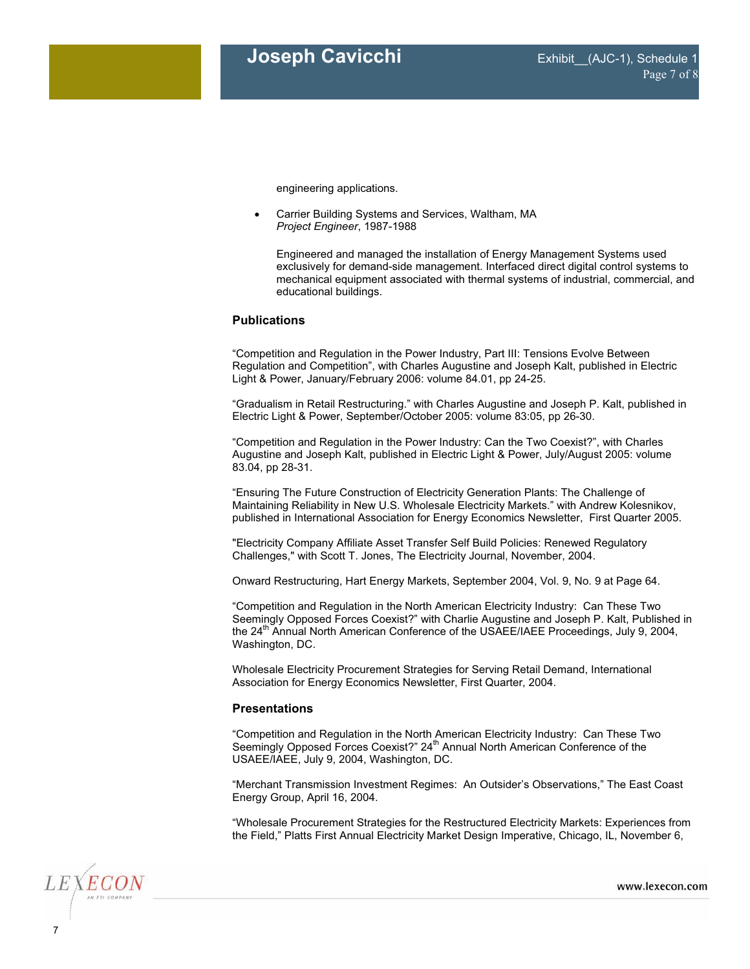engineering applications.

• Carrier Building Systems and Services, Waltham, MA *Project Engineer*, 1987-1988

Engineered and managed the installation of Energy Management Systems used exclusively for demand-side management. Interfaced direct digital control systems to mechanical equipment associated with thermal systems of industrial, commercial, and educational buildings.

### **Publications**

"Competition and Regulation in the Power Industry, Part III: Tensions Evolve Between Regulation and Competition", with Charles Augustine and Joseph Kalt, published in Electric Light & Power, January/February 2006: volume 84.01, pp 24-25.

"Gradualism in Retail Restructuring." with Charles Augustine and Joseph P. Kalt, published in Electric Light & Power, September/October 2005: volume 83:05, pp 26-30.

"Competition and Regulation in the Power Industry: Can the Two Coexist?", with Charles Augustine and Joseph Kalt, published in Electric Light & Power, July/August 2005: volume 83.04, pp 28-31.

"Ensuring The Future Construction of Electricity Generation Plants: The Challenge of Maintaining Reliability in New U.S. Wholesale Electricity Markets." with Andrew Kolesnikov, published in International Association for Energy Economics Newsletter, First Quarter 2005.

"Electricity Company Affiliate Asset Transfer Self Build Policies: Renewed Regulatory Challenges," with Scott T. Jones, The Electricity Journal, November, 2004.

Onward Restructuring, Hart Energy Markets, September 2004, Vol. 9, No. 9 at Page 64.

"Competition and Regulation in the North American Electricity Industry: Can These Two Seemingly Opposed Forces Coexist?" with Charlie Augustine and Joseph P. Kalt, Published in the 24<sup>th</sup> Annual North American Conference of the USAEE/IAEE Proceedings, July 9, 2004, Washington, DC.

Wholesale Electricity Procurement Strategies for Serving Retail Demand, International Association for Energy Economics Newsletter, First Quarter, 2004.

#### **Presentations**

"Competition and Regulation in the North American Electricity Industry: Can These Two Seemingly Opposed Forces Coexist?" 24<sup>th</sup> Annual North American Conference of the USAEE/IAEE, July 9, 2004, Washington, DC.

"Merchant Transmission Investment Regimes: An Outsider's Observations," The East Coast Energy Group, April 16, 2004.

"Wholesale Procurement Strategies for the Restructured Electricity Markets: Experiences from the Field," Platts First Annual Electricity Market Design Imperative, Chicago, IL, November 6,



www.lexecon.com